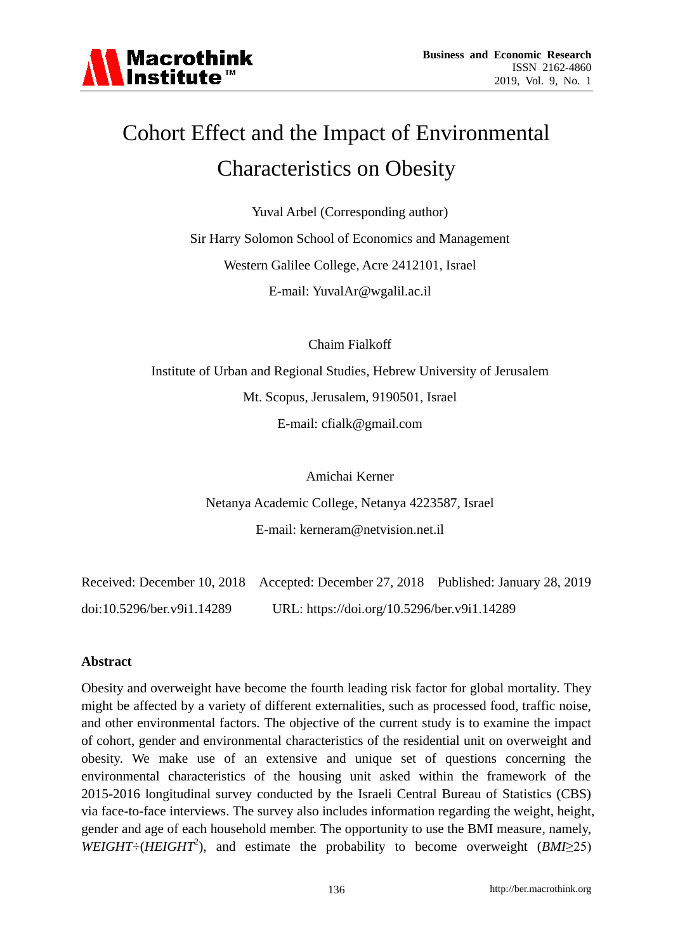

# Cohort Effect and the Impact of Environmental Characteristics on Obesity

Yuval Arbel (Corresponding author) Sir Harry Solomon School of Economics and Management Western Galilee College, Acre 2412101, Israel E-mail: YuvalAr@wgalil.ac.il

Chaim Fialkoff

Institute of Urban and Regional Studies, Hebrew University of Jerusalem Mt. Scopus, Jerusalem, 9190501, Israel E-mail: cfialk@gmail.com

> Amichai Kerner Netanya Academic College, Netanya 4223587, Israel E-mail: kerneram@netvision.net.il

Received: December 10, 2018 Accepted: December 27, 2018 Published: January 28, 2019 doi:10.5296/ber.v9i1.14289 URL: https://doi.org/10.5296/ber.v9i1.14289

### **Abstract**

Obesity and overweight have become the fourth leading risk factor for global mortality. They might be affected by a variety of different externalities, such as processed food, traffic noise, and other environmental factors. The objective of the current study is to examine the impact of cohort, gender and environmental characteristics of the residential unit on overweight and obesity. We make use of an extensive and unique set of questions concerning the environmental characteristics of the housing unit asked within the framework of the 2015-2016 longitudinal survey conducted by the Israeli Central Bureau of Statistics (CBS) via face-to-face interviews. The survey also includes information regarding the weight, height, gender and age of each household member. The opportunity to use the BMI measure, namely, *WEIGHT* ÷ (*HEIGHT*<sup>2</sup>), and estimate the probability to become overweight (*BMI*≥25)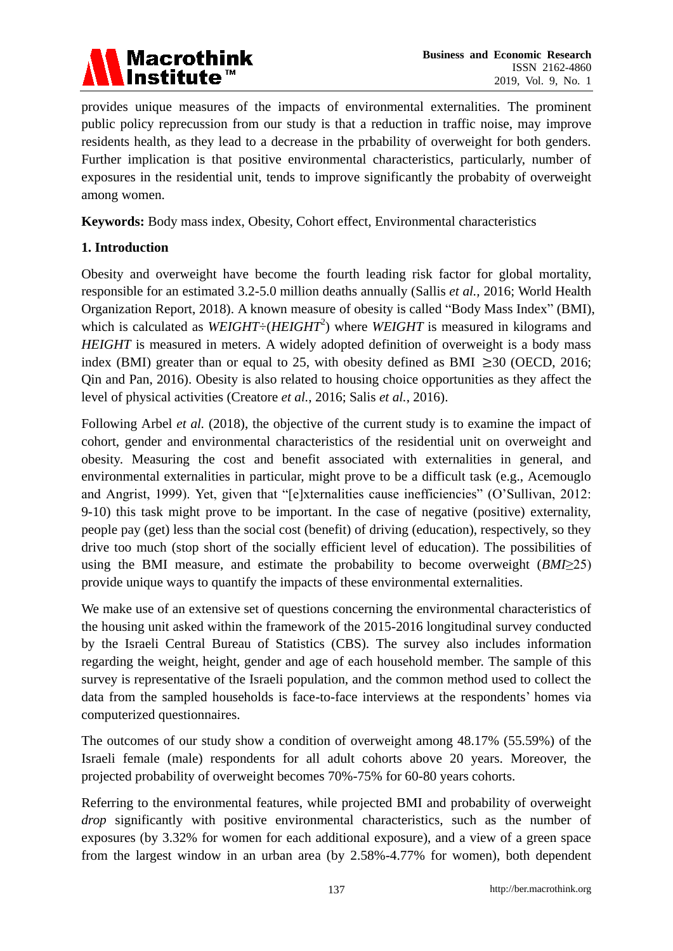

provides unique measures of the impacts of environmental externalities. The prominent public policy reprecussion from our study is that a reduction in traffic noise, may improve residents health, as they lead to a decrease in the prbability of overweight for both genders. Further implication is that positive environmental characteristics, particularly, number of exposures in the residential unit, tends to improve significantly the probabity of overweight among women.

**Keywords:** Body mass index, Obesity, Cohort effect, Environmental characteristics

# **1. Introduction**

Obesity and overweight have become the fourth leading risk factor for global mortality, responsible for an estimated 3.2-5.0 million deaths annually (Sallis *et al.,* 2016; World Health Organization Report, 2018). A known measure of obesity is called "Body Mass Index" (BMI), which is calculated as  $WEIGHT \div (HEIGHT^2)$  where  $WEIGHT$  is measured in kilograms and *HEIGHT* is measured in meters. A widely adopted definition of overweight is a body mass index (BMI) greater than or equal to 25, with obesity defined as BMI  $\geq$ 30 (OECD, 2016; Qin and Pan, 2016). Obesity is also related to housing choice opportunities as they affect the level of physical activities (Creatore *et al.*, 2016; Salis *et al.*, 2016).

Following Arbel *et al.* (2018), the objective of the current study is to examine the impact of cohort, gender and environmental characteristics of the residential unit on overweight and obesity. Measuring the cost and benefit associated with externalities in general, and environmental externalities in particular, might prove to be a difficult task (e.g., Acemouglo and Angrist, 1999). Yet, given that "[e]xternalities cause inefficiencies" (O'Sullivan, 2012: 9-10) this task might prove to be important. In the case of negative (positive) externality, people pay (get) less than the social cost (benefit) of driving (education), respectively, so they drive too much (stop short of the socially efficient level of education). The possibilities of using the BMI measure, and estimate the probability to become overweight (*BMI*≥25) provide unique ways to quantify the impacts of these environmental externalities.

We make use of an extensive set of questions concerning the environmental characteristics of the housing unit asked within the framework of the 2015-2016 longitudinal survey conducted by the Israeli Central Bureau of Statistics (CBS). The survey also includes information regarding the weight, height, gender and age of each household member. The sample of this survey is representative of the Israeli population, and the common method used to collect the data from the sampled households is face-to-face interviews at the respondents' homes via computerized questionnaires.

The outcomes of our study show a condition of overweight among 48.17% (55.59%) of the Israeli female (male) respondents for all adult cohorts above 20 years. Moreover, the projected probability of overweight becomes 70%-75% for 60-80 years cohorts.

Referring to the environmental features, while projected BMI and probability of overweight *drop* significantly with positive environmental characteristics, such as the number of exposures (by 3.32% for women for each additional exposure), and a view of a green space from the largest window in an urban area (by 2.58%-4.77% for women), both dependent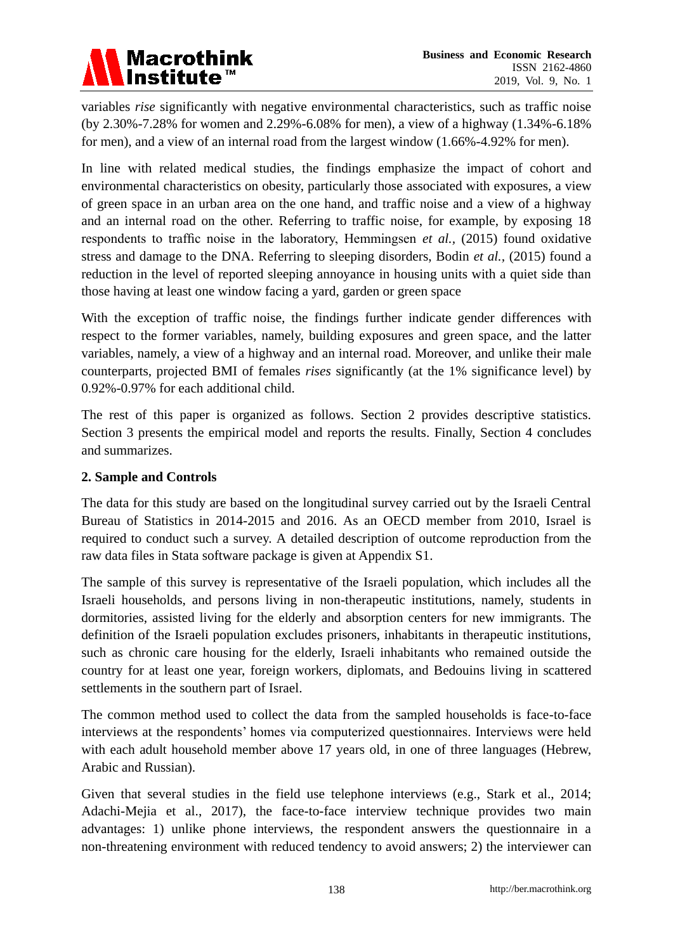

variables *rise* significantly with negative environmental characteristics, such as traffic noise (by 2.30%-7.28% for women and 2.29%-6.08% for men), a view of a highway (1.34%-6.18% for men), and a view of an internal road from the largest window (1.66%-4.92% for men).

In line with related medical studies, the findings emphasize the impact of cohort and environmental characteristics on obesity, particularly those associated with exposures, a view of green space in an urban area on the one hand, and traffic noise and a view of a highway and an internal road on the other. Referring to traffic noise, for example, by exposing 18 respondents to traffic noise in the laboratory, Hemmingsen *et al.,* (2015) found oxidative stress and damage to the DNA. Referring to sleeping disorders, Bodin *et al.,* (2015) found a reduction in the level of reported sleeping annoyance in housing units with a quiet side than those having at least one window facing a yard, garden or green space

With the exception of traffic noise, the findings further indicate gender differences with respect to the former variables, namely, building exposures and green space, and the latter variables, namely, a view of a highway and an internal road. Moreover, and unlike their male counterparts, projected BMI of females *rises* significantly (at the 1% significance level) by 0.92%-0.97% for each additional child.

The rest of this paper is organized as follows. Section 2 provides descriptive statistics. Section 3 presents the empirical model and reports the results. Finally, Section 4 concludes and summarizes.

## **2. Sample and Controls**

The data for this study are based on the longitudinal survey carried out by the Israeli Central Bureau of Statistics in 2014-2015 and 2016. As an OECD member from 2010, Israel is required to conduct such a survey. A detailed description of outcome reproduction from the raw data files in Stata software package is given at Appendix S1.

The sample of this survey is representative of the Israeli population, which includes all the Israeli households, and persons living in non-therapeutic institutions, namely, students in dormitories, assisted living for the elderly and absorption centers for new immigrants. The definition of the Israeli population excludes prisoners, inhabitants in therapeutic institutions, such as chronic care housing for the elderly, Israeli inhabitants who remained outside the country for at least one year, foreign workers, diplomats, and Bedouins living in scattered settlements in the southern part of Israel.

The common method used to collect the data from the sampled households is face-to-face interviews at the respondents' homes via computerized questionnaires. Interviews were held with each adult household member above 17 years old, in one of three languages (Hebrew, Arabic and Russian).

Given that several studies in the field use telephone interviews (e.g., Stark et al., 2014; Adachi-Mejia et al., 2017), the face-to-face interview technique provides two main advantages: 1) unlike phone interviews, the respondent answers the questionnaire in a non-threatening environment with reduced tendency to avoid answers; 2) the interviewer can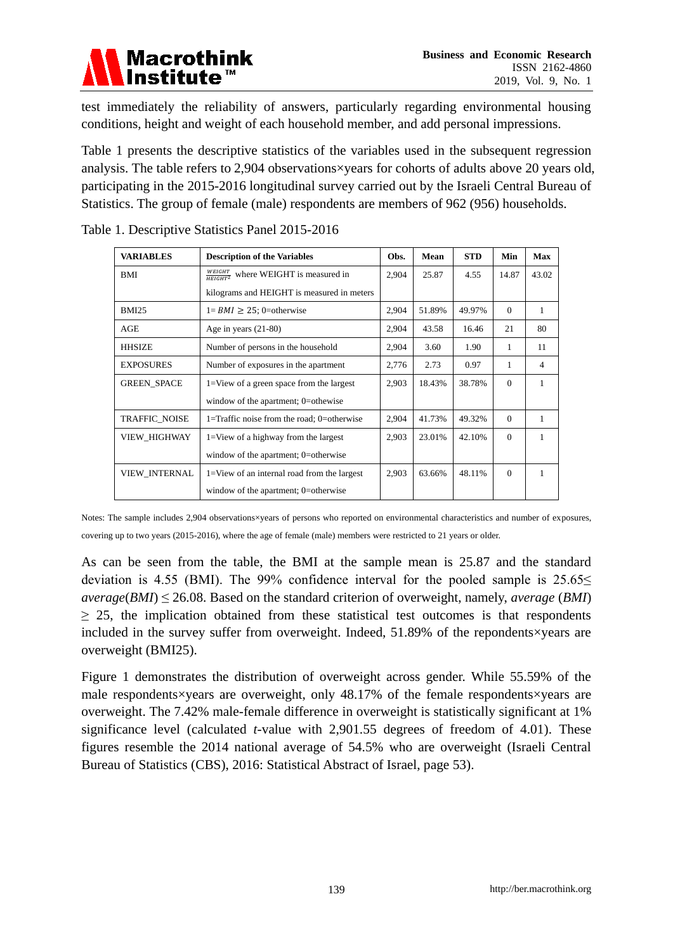

test immediately the reliability of answers, particularly regarding environmental housing conditions, height and weight of each household member, and add personal impressions.

Table 1 presents the descriptive statistics of the variables used in the subsequent regression analysis. The table refers to 2,904 observations xyears for cohorts of adults above 20 years old, participating in the 2015-2016 longitudinal survey carried out by the Israeli Central Bureau of Statistics. The group of female (male) respondents are members of 962 (956) households.

| <b>VARIABLES</b>     | <b>Description of the Variables</b>                   | Obs.  | Mean   | <b>STD</b> | Min      | <b>Max</b> |
|----------------------|-------------------------------------------------------|-------|--------|------------|----------|------------|
| BMI                  | $\frac{WEIGHT}{HEIGHT^2}$ where WEIGHT is measured in | 2,904 | 25.87  | 4.55       | 14.87    | 43.02      |
|                      | kilograms and HEIGHT is measured in meters            |       |        |            |          |            |
| BMI25                | $1 = BMI \ge 25$ ; 0=otherwise                        | 2,904 | 51.89% | 49.97%     | $\Omega$ | 1          |
| AGE                  | Age in years $(21-80)$                                | 2,904 | 43.58  | 16.46      | 21       | 80         |
| <b>HHSIZE</b>        | Number of persons in the household                    | 2,904 | 3.60   | 1.90       | 1        | 11         |
| <b>EXPOSURES</b>     | Number of exposures in the apartment                  | 2,776 | 2.73   | 0.97       | 1        | 4          |
| <b>GREEN SPACE</b>   | 1=View of a green space from the largest              | 2,903 | 18.43% | 38.78%     | $\Omega$ | 1          |
|                      | window of the apartment; 0=othewise                   |       |        |            |          |            |
| <b>TRAFFIC NOISE</b> | 1=Traffic noise from the road; 0=otherwise            | 2,904 | 41.73% | 49.32%     | $\Omega$ | 1          |
| VIEW_HIGHWAY         | 1=View of a highway from the largest                  | 2,903 | 23.01% | 42.10%     | $\Omega$ | 1          |
|                      | window of the apartment; 0=otherwise                  |       |        |            |          |            |
| <b>VIEW INTERNAL</b> | 1=View of an internal road from the largest           | 2,903 | 63.66% | 48.11%     | $\Omega$ | 1          |
|                      | window of the apartment; 0=otherwise                  |       |        |            |          |            |

Table 1. Descriptive Statistics Panel 2015-2016

Notes: The sample includes 2,904 observations xyears of persons who reported on environmental characteristics and number of exposures, covering up to two years (2015-2016), where the age of female (male) members were restricted to 21 years or older.

As can be seen from the table, the BMI at the sample mean is 25.87 and the standard deviation is 4.55 (BMI). The 99% confidence interval for the pooled sample is  $25.65 \le$ *average*(*BMI*) ≤ 26.08. Based on the standard criterion of overweight, namely, *average* (*BMI*)  $\geq$  25, the implication obtained from these statistical test outcomes is that respondents included in the survey suffer from overweight. Indeed, 51.89% of the repondents×years are overweight (BMI25).

Figure 1 demonstrates the distribution of overweight across gender. While 55.59% of the male respondents ×years are overweight, only 48.17% of the female respondents ×years are overweight. The 7.42% male-female difference in overweight is statistically significant at 1% significance level (calculated *t*-value with 2,901.55 degrees of freedom of 4.01). These figures resemble the 2014 national average of 54.5% who are overweight (Israeli Central Bureau of Statistics (CBS), 2016: Statistical Abstract of Israel, page 53).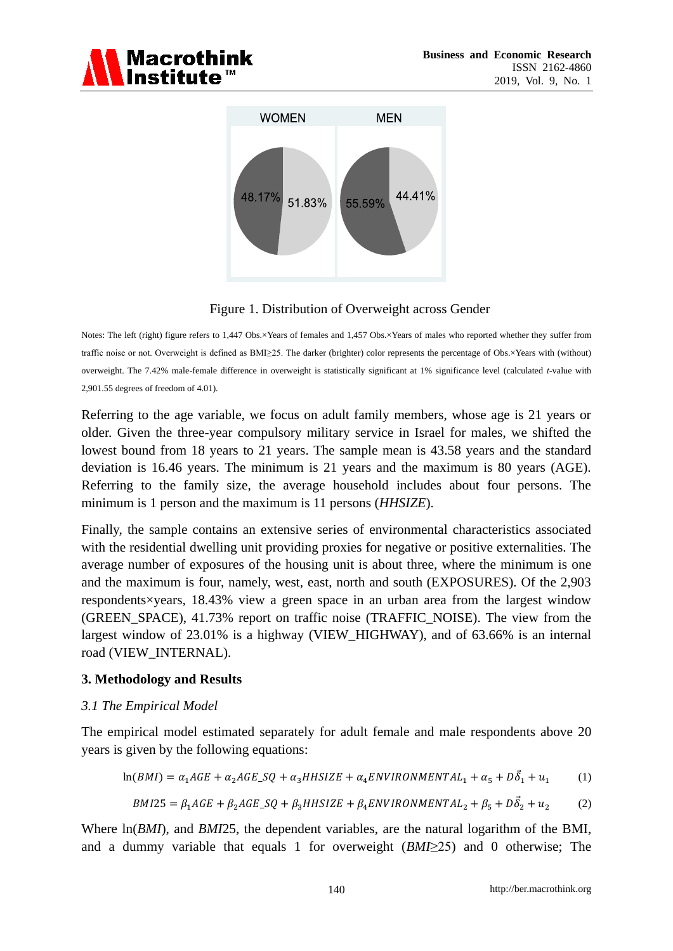



Figure 1. Distribution of Overweight across Gender

Notes: The left (right) figure refers to 1,447 Obs.×Years of females and 1,457 Obs.×Years of males who reported whether they suffer from traffic noise or not. Overweight is defined as BMI≥25. The darker (brighter) color represents the percentage of Obs.×Years with (without) overweight. The 7.42% male-female difference in overweight is statistically significant at 1% significance level (calculated *t*-value with 2,901.55 degrees of freedom of 4.01).

Referring to the age variable, we focus on adult family members, whose age is 21 years or older. Given the three-year compulsory military service in Israel for males, we shifted the lowest bound from 18 years to 21 years. The sample mean is 43.58 years and the standard deviation is 16.46 years. The minimum is 21 years and the maximum is 80 years (AGE). Referring to the family size, the average household includes about four persons. The minimum is 1 person and the maximum is 11 persons (*HHSIZE*).

Finally, the sample contains an extensive series of environmental characteristics associated with the residential dwelling unit providing proxies for negative or positive externalities. The average number of exposures of the housing unit is about three, where the minimum is one and the maximum is four, namely, west, east, north and south (EXPOSURES). Of the 2,903 respondents×years, 18.43% view a green space in an urban area from the largest window (GREEN\_SPACE), 41.73% report on traffic noise (TRAFFIC\_NOISE). The view from the largest window of 23.01% is a highway (VIEW\_HIGHWAY), and of 63.66% is an internal road (VIEW\_INTERNAL).

### **3. Methodology and Results**

### *3.1 The Empirical Model*

The empirical model estimated separately for adult female and male respondents above 20 years is given by the following equations:

$$
\ln(BMI) = \alpha_1 AGE + \alpha_2 AGE \cdot SQ + \alpha_3 HHSIZE + \alpha_4 ENVIRONMENTAL_1 + \alpha_5 + D\vec{\delta}_1 + u_1 \tag{1}
$$

$$
BMI25 = \beta_1 AGE + \beta_2 AGE \_SQ + \beta_3 HHSIZE + \beta_4 ENVIRONMENTAL_2 + \beta_5 + D\vec{\delta}_2 + u_2 \tag{2}
$$

Where  $ln(BMI)$ , and *BMI*25, the dependent variables, are the natural logarithm of the BMI, and a dummy variable that equals 1 for overweight (*BMI*≥25) and 0 otherwise; The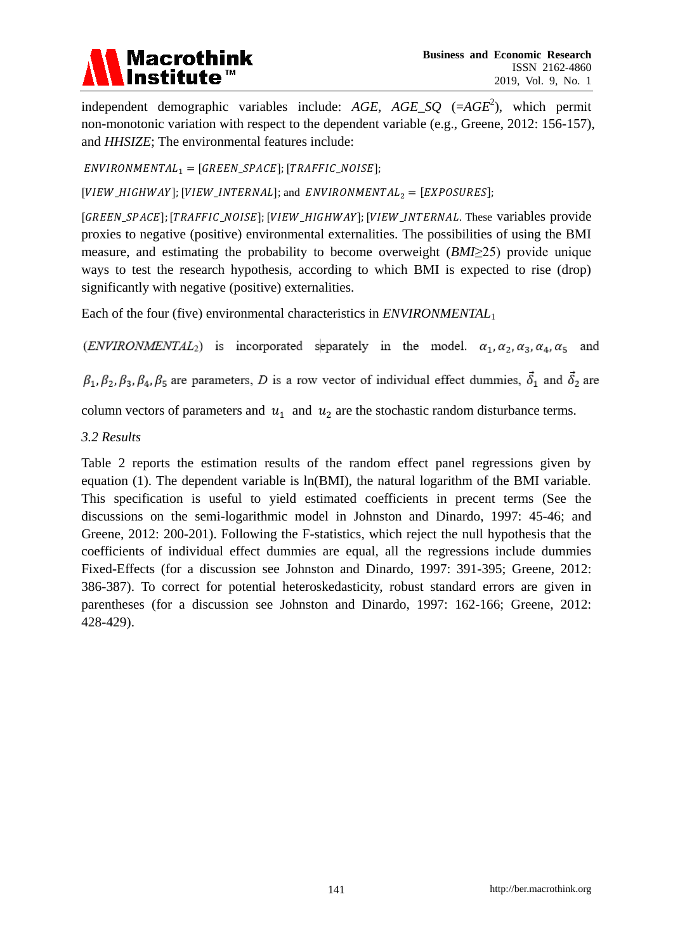# **Macrothink**

independent demographic variables include: *AGE*, *AGE\_SQ* (=*AGE*<sup>2</sup> ), which permit non-monotonic variation with respect to the dependent variable (e.g., Greene, 2012: 156-157), and *HHSIZE*; The environmental features include:

 $ENVIRONMENTAL_1 = [GREEN_S PACE]; [TRAFFIC_NOISE];$ 

[VIEW\_HIGHWAY]; [VIEW\_INTERNAL]; and ENVIRONMENTAL<sub>2</sub> = [EXPOSURES];

[GREEN\_SPACE]; [TRAFFIC\_NOISE]; [VIEW\_HIGHWAY]; [VIEW\_INTERNAL. These variables provide proxies to negative (positive) environmental externalities. The possibilities of using the BMI measure, and estimating the probability to become overweight (*BMI*≥25) provide unique ways to test the research hypothesis, according to which BMI is expected to rise (drop) significantly with negative (positive) externalities.

Each of the four (five) environmental characteristics in *ENVIRONMENTAL*<sup>1</sup>

(ENVIRONMENTAL<sub>2</sub>) is incorporated separately in the model.  $\alpha_1, \alpha_2, \alpha_3, \alpha_4, \alpha_5$  and

 $\beta_1, \beta_2, \beta_3, \beta_4, \beta_5$  are parameters, D is a row vector of individual effect dummies,  $\vec{\delta}_1$  and  $\vec{\delta}_2$  are

column vectors of parameters and  $u_1$  and  $u_2$  are the stochastic random disturbance terms.

*3.2 Results*

Table 2 reports the estimation results of the random effect panel regressions given by equation (1). The dependent variable is ln(BMI), the natural logarithm of the BMI variable. This specification is useful to yield estimated coefficients in precent terms (See the discussions on the semi-logarithmic model in Johnston and Dinardo, 1997: 45-46; and Greene, 2012: 200-201). Following the F-statistics, which reject the null hypothesis that the coefficients of individual effect dummies are equal, all the regressions include dummies Fixed-Effects (for a discussion see Johnston and Dinardo, 1997: 391-395; Greene, 2012: 386-387). To correct for potential heteroskedasticity, robust standard errors are given in parentheses (for a discussion see Johnston and Dinardo, 1997: 162-166; Greene, 2012: 428-429).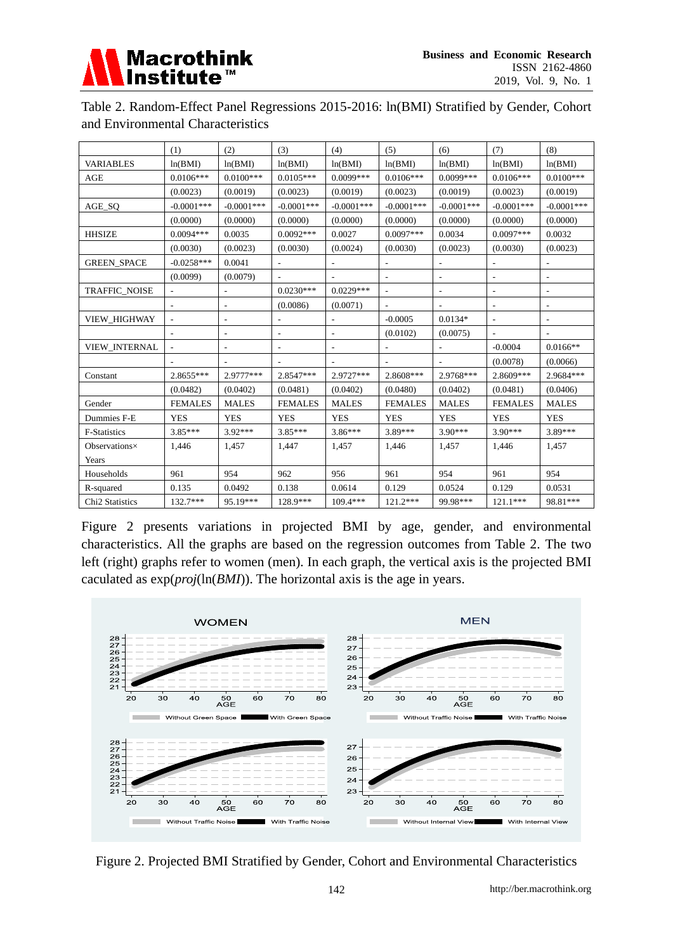

| Table 2. Random-Effect Panel Regressions 2015-2016: ln(BMI) Stratified by Gender, Cohort |  |
|------------------------------------------------------------------------------------------|--|
| and Environmental Characteristics                                                        |  |

|                             | (1)            | (2)                      | (3)            | (4)                      | (5)                      | (6)                      | (7)                      | (8)            |
|-----------------------------|----------------|--------------------------|----------------|--------------------------|--------------------------|--------------------------|--------------------------|----------------|
| <b>VARIABLES</b>            | ln(BMI)        | ln(BMI)                  | ln(BMI)        | ln(BMI)                  | ln(BMI)                  | ln(BMI)                  | ln(BMI)                  | ln(BMI)        |
| AGE                         | $0.0106***$    | $0.0100***$              | $0.0105***$    | $0.0099***$              | $0.0106***$              | $0.0099***$              | $0.0106***$              | $0.0100***$    |
|                             | (0.0023)       | (0.0019)                 | (0.0023)       | (0.0019)                 | (0.0023)                 | (0.0019)                 | (0.0023)                 | (0.0019)       |
| AGE_SQ                      | $-0.0001$ ***  | $-0.0001***$             | $-0.0001$ ***  | $-0.0001***$             | $-0.0001***$             | $-0.0001***$             | $-0.0001$ ***            | $-0.0001***$   |
|                             | (0.0000)       | (0.0000)                 | (0.0000)       | (0.0000)                 | (0.0000)                 | (0.0000)                 | (0.0000)                 | (0.0000)       |
| <b>HHSIZE</b>               | $0.0094***$    | 0.0035                   | $0.0092***$    | 0.0027                   | $0.0097***$              | 0.0034                   | $0.0097***$              | 0.0032         |
|                             | (0.0030)       | (0.0023)                 | (0.0030)       | (0.0024)                 | (0.0030)                 | (0.0023)                 | (0.0030)                 | (0.0023)       |
| <b>GREEN_SPACE</b>          | $-0.0258***$   | 0.0041                   |                | $\overline{\phantom{a}}$ | $\overline{\phantom{a}}$ | $\overline{\phantom{a}}$ | $\overline{\phantom{0}}$ | ۰              |
|                             | (0.0099)       | (0.0079)                 |                |                          | $\overline{\phantom{a}}$ | $\overline{\phantom{a}}$ | -                        | -              |
| <b>TRAFFIC_NOISE</b>        |                |                          | $0.0230***$    | $0.0229***$              |                          |                          |                          | $\overline{a}$ |
|                             |                |                          | (0.0086)       | (0.0071)                 |                          |                          |                          |                |
| VIEW_HIGHWAY                |                | $\overline{\phantom{a}}$ |                |                          | $-0.0005$                | $0.0134*$                | $\overline{a}$           | -              |
|                             |                | $\overline{\phantom{a}}$ |                |                          | (0.0102)                 | (0.0075)                 |                          |                |
| VIEW_INTERNAL               |                |                          |                |                          |                          |                          | $-0.0004$                | $0.0166**$     |
|                             |                |                          |                |                          |                          |                          | (0.0078)                 | (0.0066)       |
| Constant                    | 2.8655***      | 2.9777***                | 2.8547***      | 2.9727***                | 2.8608***                | 2.9768***                | 2.8609***                | 2.9684***      |
|                             | (0.0482)       | (0.0402)                 | (0.0481)       | (0.0402)                 | (0.0480)                 | (0.0402)                 | (0.0481)                 | (0.0406)       |
| Gender                      | <b>FEMALES</b> | <b>MALES</b>             | <b>FEMALES</b> | <b>MALES</b>             | <b>FEMALES</b>           | <b>MALES</b>             | <b>FEMALES</b>           | <b>MALES</b>   |
| Dummies F-E                 | <b>YES</b>     | <b>YES</b>               | <b>YES</b>     | <b>YES</b>               | <b>YES</b>               | <b>YES</b>               | <b>YES</b>               | <b>YES</b>     |
| F-Statistics                | $3.85***$      | 3.92***                  | $3.85***$      | $3.86***$                | 3.89***                  | 3.90***                  | 3.90***                  | 3.89***        |
| Observations $\times$       | 1,446          | 1,457                    | 1,447          | 1,457                    | 1,446                    | 1,457                    | 1,446                    | 1,457          |
| Years                       |                |                          |                |                          |                          |                          |                          |                |
| Households                  | 961            | 954                      | 962            | 956                      | 961                      | 954                      | 961                      | 954            |
| R-squared                   | 0.135          | 0.0492                   | 0.138          | 0.0614                   | 0.129                    | 0.0524                   | 0.129                    | 0.0531         |
| Chi <sub>2</sub> Statistics | 132.7***       | 95.19***                 | 128.9***       | 109.4***                 | $121.2***$               | 99.98***                 | 121.1***                 | 98.81***       |

Figure 2 presents variations in projected BMI by age, gender, and environmental characteristics. All the graphs are based on the regression outcomes from Table 2. The two left (right) graphs refer to women (men). In each graph, the vertical axis is the projected BMI caculated as exp(*proj*(ln(*BMI*)). The horizontal axis is the age in years.



Figure 2. Projected BMI Stratified by Gender, Cohort and Environmental Characteristics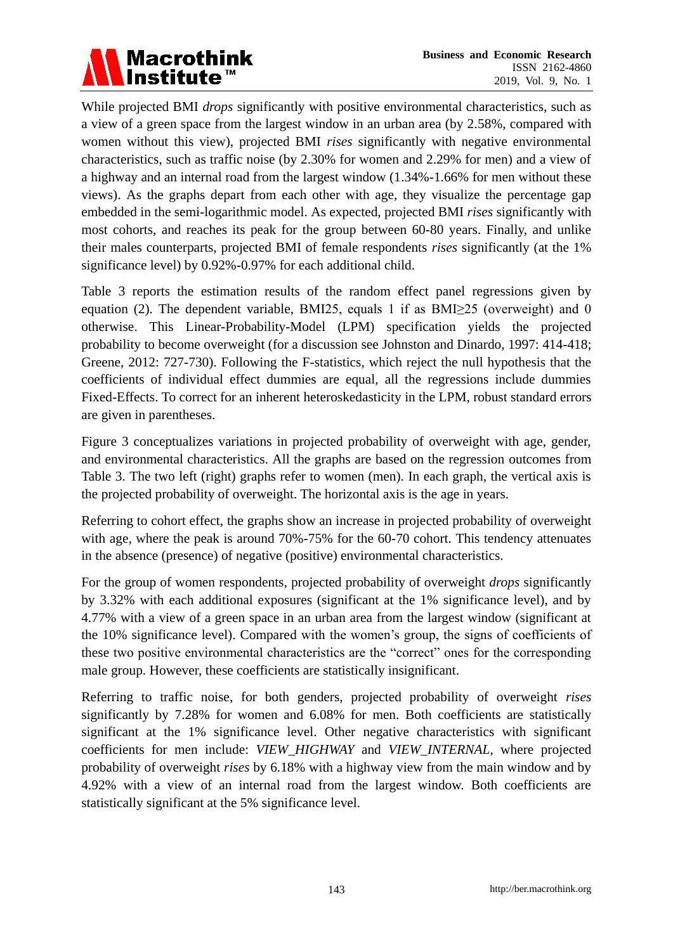

While projected BMI *drops* significantly with positive environmental characteristics, such as a view of a green space from the largest window in an urban area (by 2.58%, compared with women without this view), projected BMI *rises* significantly with negative environmental characteristics, such as traffic noise (by 2.30% for women and 2.29% for men) and a view of a highway and an internal road from the largest window (1.34%-1.66% for men without these views). As the graphs depart from each other with age, they visualize the percentage gap embedded in the semi-logarithmic model. As expected, projected BMI *rises* significantly with most cohorts, and reaches its peak for the group between 60-80 years. Finally, and unlike their males counterparts, projected BMI of female respondents *rises* significantly (at the 1% significance level) by 0.92%-0.97% for each additional child.

Table 3 reports the estimation results of the random effect panel regressions given by equation (2). The dependent variable, BMI25, equals 1 if as BMI≥25 (overweight) and 0 otherwise. This Linear-Probability-Model (LPM) specification yields the projected probability to become overweight (for a discussion see Johnston and Dinardo, 1997: 414-418; Greene, 2012: 727-730). Following the F-statistics, which reject the null hypothesis that the coefficients of individual effect dummies are equal, all the regressions include dummies Fixed-Effects. To correct for an inherent heteroskedasticity in the LPM, robust standard errors are given in parentheses.

Figure 3 conceptualizes variations in projected probability of overweight with age, gender, and environmental characteristics. All the graphs are based on the regression outcomes from Table 3. The two left (right) graphs refer to women (men). In each graph, the vertical axis is the projected probability of overweight. The horizontal axis is the age in years.

Referring to cohort effect, the graphs show an increase in projected probability of overweight with age, where the peak is around 70%-75% for the 60-70 cohort. This tendency attenuates in the absence (presence) of negative (positive) environmental characteristics.

For the group of women respondents, projected probability of overweight *drops* significantly by 3.32% with each additional exposures (significant at the 1% significance level), and by 4.77% with a view of a green space in an urban area from the largest window (significant at the 10% significance level). Compared with the women's group, the signs of coefficients of these two positive environmental characteristics are the "correct" ones for the corresponding male group. However, these coefficients are statistically insignificant.

Referring to traffic noise, for both genders, projected probability of overweight *rises* significantly by 7.28% for women and 6.08% for men. Both coefficients are statistically significant at the 1% significance level. Other negative characteristics with significant coefficients for men include: *VIEW\_HIGHWAY* and *VIEW\_INTERNAL*, where projected probability of overweight *rises* by 6.18% with a highway view from the main window and by 4.92% with a view of an internal road from the largest window. Both coefficients are statistically significant at the 5% significance level.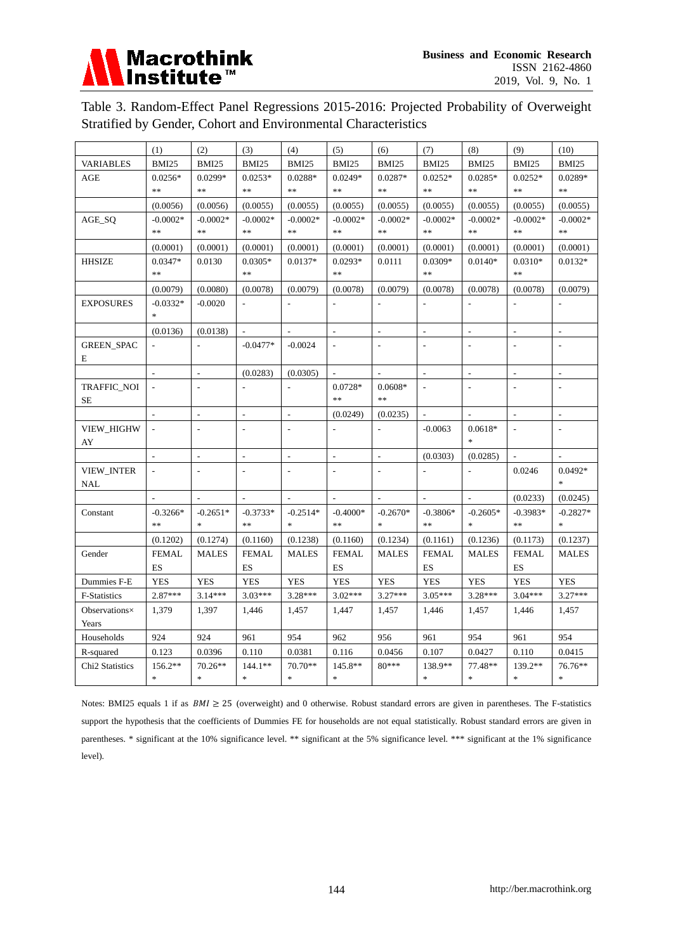

Table 3. Random-Effect Panel Regressions 2015-2016: Projected Probability of Overweight Stratified by Gender, Cohort and Environmental Characteristics

|                             | (1)                               | (2)                      | (3)                      | (4)                      | (5)                      | (6)                      | (7)            | (8)                      | (9)                                               | (10)           |
|-----------------------------|-----------------------------------|--------------------------|--------------------------|--------------------------|--------------------------|--------------------------|----------------|--------------------------|---------------------------------------------------|----------------|
| <b>VARIABLES</b>            | BMI25                             | BMI25                    | BMI25                    | BMI25                    | BMI25                    | BMI25                    | BMI25          | BMI25                    | BMI25                                             | BMI25          |
| <b>AGE</b>                  | $0.0256*$                         | $0.0299*$                | $0.0253*$                | $0.0288*$                | $0.0249*$                | 0.0287*                  | $0.0252*$      | $0.0285*$                | $0.0252*$                                         | $0.0289*$      |
|                             | $\frac{1}{2}$                     | $\frac{1}{2}$            | **                       | $\ast$                   | $\frac{1}{2}$            | $\ast$                   | $\ast$         | **                       | $\frac{1}{2} \mathcal{C} \frac{1}{2} \mathcal{C}$ | $\ast$         |
|                             | (0.0056)                          | (0.0056)                 | (0.0055)                 | (0.0055)                 | (0.0055)                 | (0.0055)                 | (0.0055)       | (0.0055)                 | (0.0055)                                          | (0.0055)       |
| AGE_SQ                      | $-0.0002*$                        | $-0.0002*$               | $-0.0002*$               | $-0.0002*$               | $-0.0002*$               | $-0.0002*$               | $-0.0002*$     | $-0.0002*$               | $-0.0002*$                                        | $-0.0002*$     |
|                             | $**$                              | $\ast$                   | $**$                     | $\ast\ast$               | $\ast\ast$               | $\ast\ast$               | $\ast\ast$     | $\ast$                   | $\ast$                                            | $\ast\ast$     |
|                             | (0.0001)                          | (0.0001)                 | (0.0001)                 | (0.0001)                 | (0.0001)                 | (0.0001)                 | (0.0001)       | (0.0001)                 | (0.0001)                                          | (0.0001)       |
| <b>HHSIZE</b>               | $0.0347*$                         | 0.0130                   | $0.0305*$                | $0.0137*$                | $0.0293*$                | 0.0111                   | $0.0309*$      | $0.0140*$                | $0.0310*$                                         | $0.0132*$      |
|                             | $**$                              |                          | **                       |                          | $\ast$                   |                          | $**$           |                          | $**$                                              |                |
|                             | (0.0079)                          | (0.0080)                 | (0.0078)                 | (0.0079)                 | (0.0078)                 | (0.0079)                 | (0.0078)       | (0.0078)                 | (0.0078)                                          | (0.0079)       |
| <b>EXPOSURES</b>            | $-0.0332*$                        | $-0.0020$                | $\blacksquare$           |                          |                          | $\overline{a}$           | $\frac{1}{2}$  | $\overline{a}$           | $\overline{\phantom{a}}$                          | $\overline{a}$ |
|                             | $\frac{d\mathbf{r}}{d\mathbf{r}}$ |                          |                          |                          |                          |                          |                |                          |                                                   |                |
|                             | (0.0136)                          | (0.0138)                 | $\overline{a}$           |                          | $\overline{\phantom{a}}$ | L,                       | $\overline{a}$ | $\overline{\phantom{a}}$ | $\sim$                                            | ÷,             |
| <b>GREEN_SPAC</b>           |                                   |                          | $-0.0477*$               | $-0.0024$                |                          |                          | L.             |                          |                                                   |                |
| E                           |                                   |                          |                          |                          |                          |                          |                |                          |                                                   |                |
|                             |                                   |                          | (0.0283)                 | (0.0305)                 |                          |                          |                |                          |                                                   |                |
| <b>TRAFFIC NOI</b>          |                                   |                          |                          |                          | $0.0728*$                | $0.0608*$                |                |                          |                                                   |                |
| <b>SE</b>                   |                                   |                          |                          |                          | $\ast$                   | $\ast$                   |                |                          |                                                   |                |
|                             | $\overline{a}$                    | $\mathbb{L}$             | $\overline{a}$           | $\overline{a}$           | (0.0249)                 | (0.0235)                 |                |                          | $\mathcal{L}$                                     | $\overline{a}$ |
| VIEW_HIGHW                  | $\bar{\phantom{a}}$               | $\overline{a}$           | $\frac{1}{2}$            |                          |                          |                          | $-0.0063$      | $0.0618*$                | $\overline{a}$                                    |                |
| AY                          |                                   |                          |                          |                          |                          |                          |                | $\ast$                   |                                                   |                |
|                             |                                   | $\overline{\phantom{a}}$ | $\overline{\phantom{a}}$ | $\overline{\phantom{a}}$ | $\overline{\phantom{a}}$ | $\overline{\phantom{a}}$ | (0.0303)       | (0.0285)                 |                                                   |                |
| <b>VIEW_INTER</b>           | $\overline{\phantom{a}}$          | $\overline{\phantom{a}}$ | $\overline{\phantom{a}}$ |                          |                          | $\overline{a}$           |                |                          | 0.0246                                            | $0.0492*$      |
| NAL                         |                                   |                          |                          |                          |                          |                          |                |                          |                                                   | $\frac{1}{2}$  |
|                             |                                   |                          |                          |                          |                          |                          |                |                          | (0.0233)                                          | (0.0245)       |
| Constant                    | $-0.3266*$                        | $-0.2651*$               | $-0.3733*$               | $-0.2514*$               | $-0.4000*$               | $-0.2670*$               | $-0.3806*$     | $-0.2605*$               | $-0.3983*$                                        | $-0.2827*$     |
|                             | $**$                              |                          | **                       |                          | $**$                     |                          | $*$            |                          | $**$                                              | $\ast$         |
|                             | (0.1202)                          | (0.1274)                 | (0.1160)                 | (0.1238)                 | (0.1160)                 | (0.1234)                 | (0.1161)       | (0.1236)                 | (0.1173)                                          | (0.1237)       |
| Gender                      | <b>FEMAL</b>                      | <b>MALES</b>             | <b>FEMAL</b>             | <b>MALES</b>             | <b>FEMAL</b>             | <b>MALES</b>             | <b>FEMAL</b>   | <b>MALES</b>             | <b>FEMAL</b>                                      | <b>MALES</b>   |
|                             | <b>ES</b>                         |                          | ES                       |                          | ES                       |                          | ES             |                          | <b>ES</b>                                         |                |
| Dummies F-E                 | <b>YES</b>                        | <b>YES</b>               | <b>YES</b>               | <b>YES</b>               | <b>YES</b>               | <b>YES</b>               | <b>YES</b>     | <b>YES</b>               | <b>YES</b>                                        | <b>YES</b>     |
| F-Statistics                | $2.87***$                         | $3.14***$                | $3.03***$                | $3.28***$                | $3.02***$                | $3.27***$                | $3.05***$      | $3.28***$                | $3.04***$                                         | $3.27***$      |
| Observations $\times$       | 1,379                             | 1,397                    | 1,446                    | 1,457                    | 1,447                    | 1,457                    | 1,446          | 1,457                    | 1,446                                             | 1,457          |
| Years                       |                                   |                          |                          |                          |                          |                          |                |                          |                                                   |                |
| Households                  | 924                               | 924                      | 961                      | 954                      | 962                      | 956                      | 961            | 954                      | 961                                               | 954            |
| R-squared                   | 0.123                             | 0.0396                   | 0.110                    | 0.0381                   | 0.116                    | 0.0456                   | 0.107          | 0.0427                   | 0.110                                             | 0.0415         |
| Chi <sub>2</sub> Statistics | $156.2**$                         | $70.26**$                | $144.1**$                | 70.70**                  | $145.8**$                | 80***                    | 138.9**        | 77.48**                  | 139.2**                                           | 76.76**        |
|                             | $\frac{1}{2}$                     | $\ast$                   | $\ast$                   | $\ast$                   | $\ast$                   |                          | $\ast$         | $\ast$                   | $\frac{1}{2}$                                     | $\ast$         |

Notes: BMI25 equals 1 if as  $BMI \ge 25$  (overweight) and 0 otherwise. Robust standard errors are given in parentheses. The F-statistics support the hypothesis that the coefficients of Dummies FE for households are not equal statistically. Robust standard errors are given in parentheses. \* significant at the 10% significance level. \*\* significant at the 5% significance level. \*\*\* significant at the 1% significance level).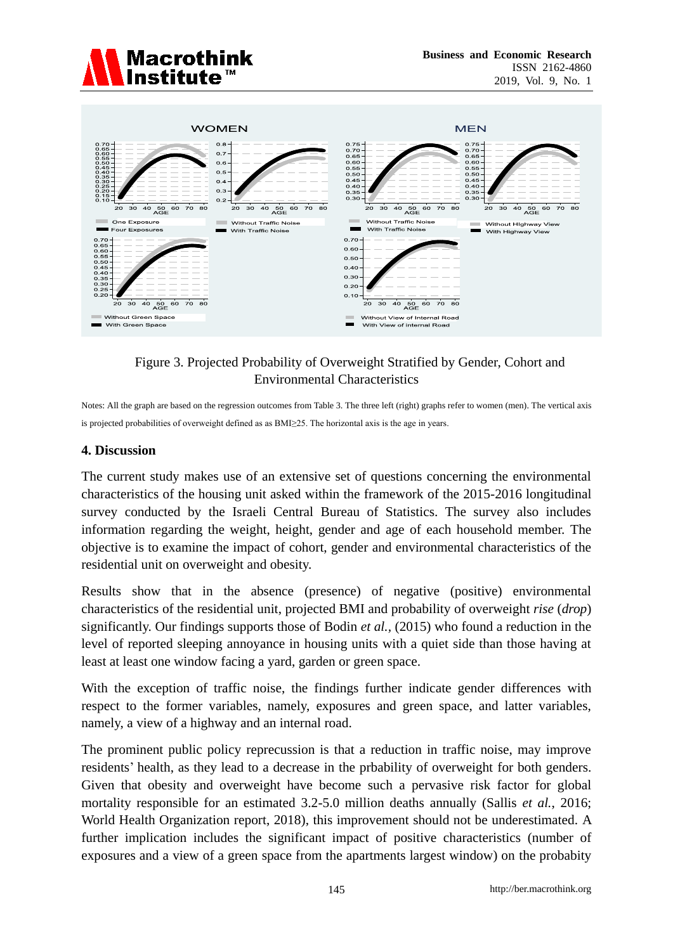



Figure 3. Projected Probability of Overweight Stratified by Gender, Cohort and Environmental Characteristics

Notes: All the graph are based on the regression outcomes from Table 3. The three left (right) graphs refer to women (men). The vertical axis is projected probabilities of overweight defined as as BMI≥25. The horizontal axis is the age in years.

#### **4. Discussion**

The current study makes use of an extensive set of questions concerning the environmental characteristics of the housing unit asked within the framework of the 2015-2016 longitudinal survey conducted by the Israeli Central Bureau of Statistics. The survey also includes information regarding the weight, height, gender and age of each household member. The objective is to examine the impact of cohort, gender and environmental characteristics of the residential unit on overweight and obesity.

Results show that in the absence (presence) of negative (positive) environmental characteristics of the residential unit, projected BMI and probability of overweight *rise* (*drop*) significantly. Our findings supports those of Bodin *et al.,* (2015) who found a reduction in the level of reported sleeping annoyance in housing units with a quiet side than those having at least at least one window facing a yard, garden or green space.

With the exception of traffic noise, the findings further indicate gender differences with respect to the former variables, namely, exposures and green space, and latter variables, namely, a view of a highway and an internal road.

The prominent public policy reprecussion is that a reduction in traffic noise, may improve residents' health, as they lead to a decrease in the prbability of overweight for both genders. Given that obesity and overweight have become such a pervasive risk factor for global mortality responsible for an estimated 3.2-5.0 million deaths annually (Sallis *et al.*, 2016; World Health Organization report, 2018), this improvement should not be underestimated. A further implication includes the significant impact of positive characteristics (number of exposures and a view of a green space from the apartments largest window) on the probabity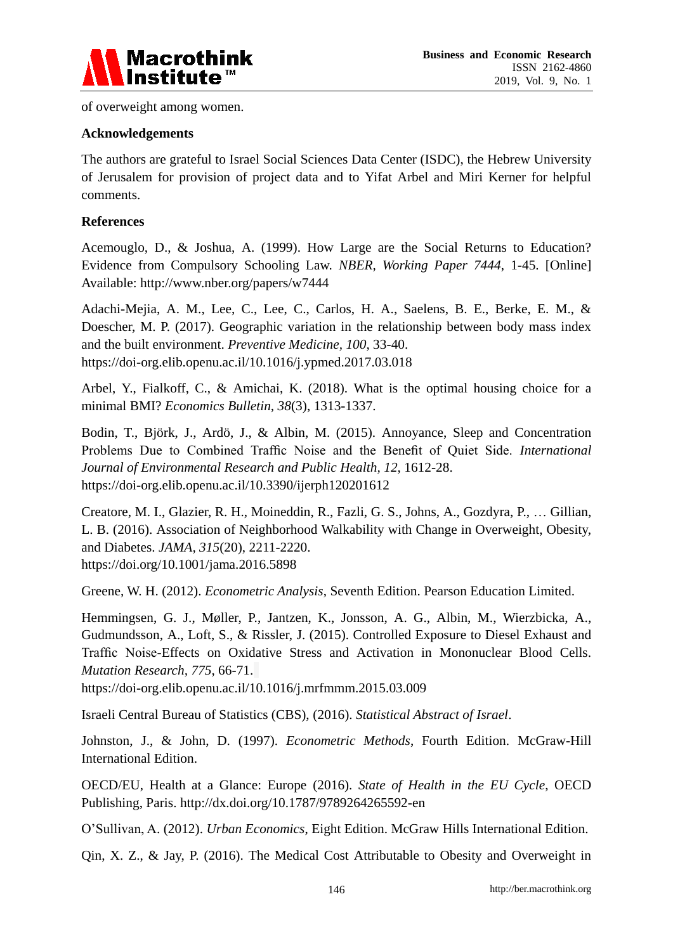

of overweight among women.

## **Acknowledgements**

The authors are grateful to Israel Social Sciences Data Center (ISDC), the Hebrew University of Jerusalem for provision of project data and to Yifat Arbel and Miri Kerner for helpful comments.

## **References**

Acemouglo, D., & Joshua, A. (1999). How Large are the Social Returns to Education? Evidence from Compulsory Schooling Law. *NBER, Working Paper 7444*, 1-45. [Online] Available: http://www.nber.org/papers/w7444

Adachi-Mejia, A. M., Lee, C., Lee, C., Carlos, H. A., Saelens, B. E., Berke, E. M., & Doescher, M. P. (2017). Geographic variation in the relationship between body mass index and the built environment. *Preventive Medicine, 100*, 33-40. https://doi-org.elib.openu.ac.il/10.1016/j.ypmed.2017.03.018

Arbel, Y., Fialkoff, C., & Amichai, K. (2018). What is the optimal housing choice for a minimal BMI? *Economics Bulletin, 38*(3), 1313-1337.

Bodin, T., Björk, J., Ardö, J., & Albin, M. (2015). Annoyance, Sleep and Concentration Problems Due to Combined Traffic Noise and the Benefit of Quiet Side. *International Journal of Environmental Research and Public Health, 12*, 1612-28. https://doi-org.elib.openu.ac.il/10.3390/ijerph120201612

Creatore, M. I., Glazier, R. H., Moineddin, R., Fazli, G. S., Johns, A., Gozdyra, P., … Gillian, L. B. (2016). Association of Neighborhood Walkability with Change in Overweight, Obesity, and Diabetes. *JAMA, 315*(20), 2211-2220. https://doi.org/10.1001/jama.2016.5898

Greene, W. H. (2012). *Econometric Analysis*, Seventh Edition. Pearson Education Limited.

Hemmingsen, G. J., Møller, P., Jantzen, K., Jonsson, A. G., Albin, M., Wierzbicka, A., Gudmundsson, A., Loft, S., & Rissler, J. (2015). Controlled Exposure to Diesel Exhaust and Traffic Noise-Effects on Oxidative Stress and Activation in Mononuclear Blood Cells. *Mutation Research, 775*, 66-71.

https://doi-org.elib.openu.ac.il/10.1016/j.mrfmmm.2015.03.009

Israeli Central Bureau of Statistics (CBS), (2016). *Statistical Abstract of Israel*.

Johnston, J., & John, D. (1997). *Econometric Methods*, Fourth Edition. McGraw-Hill International Edition.

OECD/EU, Health at a Glance: Europe (2016). *State of Health in the EU Cycle*, OECD Publishing, Paris. http://dx.doi.org/10.1787/9789264265592-en

O'Sullivan, A. (2012). *Urban Economics*, Eight Edition. McGraw Hills International Edition.

Qin, X. Z., & Jay, P. (2016). The Medical Cost Attributable to Obesity and Overweight in